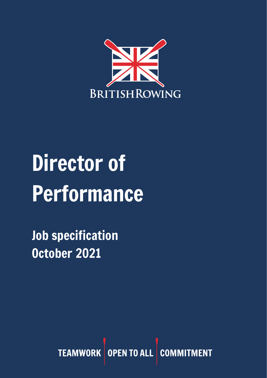

# Director of Performance

Job specification October 2021

> TEAMWORK OPEN TO ALL COMMI **MENT**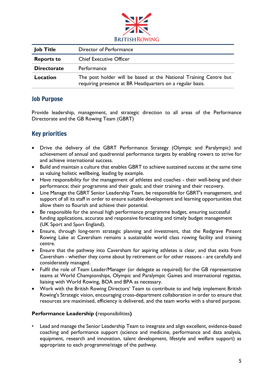

| <b>Job Title</b>   | Director of Performance                                                                                                        |
|--------------------|--------------------------------------------------------------------------------------------------------------------------------|
| <b>Reports to</b>  | <b>Chief Executive Officer</b>                                                                                                 |
| <b>Directorate</b> | Performance                                                                                                                    |
| Location           | The post holder will be based at the National Training Centre but<br>requiring presence at BR Headquarters on a regular basis. |

#### Job Purpose

Provide leadership, management, and strategic direction to all areas of the Performance Directorate and the GB Rowing Team (GBRT)

## Key priorities

- Drive the delivery of the GBRT Performance Strategy (Olympic and Paralympic) and achievement of annual and quadrennial performance targets by enabling rowers to strive for and achieve international success.
- Build and maintain a culture that enables GBRT to achieve sustained success at the same time as valuing holistic wellbeing, leading by example.
- Have responsibility for the management of athletes and coaches their well-being and their performance; their programme and their goals; and their training and their recovery.
- Line Manage the GBRT Senior Leadership Team, be responsible for GBRT's management, and support of all its staff in order to ensure suitable development and learning opportunities that allow them to flourish and achieve their potential.
- Be responsible for the annual high performance programme budget, ensuring successful funding applications, accurate and responsive forecasting and timely budget management (UK Sport and Sport England).
- Ensure, through long-term strategic planning and investment, that the Redgrave Pinsent Rowing Lake at Caversham remains a sustainable world class rowing facility and training centre.
- Ensure that the pathway into Caversham for aspiring athletes is clear, and that exits from Caversham - whether they come about by retirement or for other reasons - are carefully and considerately managed.
- Fulfil the role of Team Leader/Manager (or delegate as required) for the GB representative teams at World Championships, Olympic and Paralympic Games and international regattas, liaising with World Rowing, BOA and BPA as necessary.
- Work with the British Rowing Directors' Team to contribute to and help implement British Rowing's Strategic vision, encouraging cross-department collaboration in order to ensure that resources are maximised, efficiency is delivered, and the team works with a shared purpose.

#### **Performance Leadership (**responsibilities**)**

• Lead and manage the Senior Leadership Team to integrate and align excellent, evidence-based coaching and performance support (science and medicine, performance and data analysis, equipment, research and innovation, talent development, lifestyle and welfare support) as appropriate to each programme/stage of the pathway.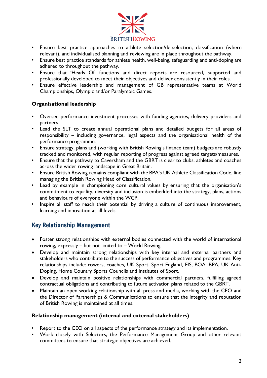

- Ensure best practice approaches to athlete selection/de-selection, classification (where relevant), and individualised planning and reviewing are in place throughout the pathway.
- Ensure best practice standards for athlete health, well-being, safeguarding and anti-doping are adhered to throughout the pathway.
- Ensure that 'Heads Of' functions and direct reports are resourced, supported and professionally developed to meet their objectives and deliver consistently in their roles.
- Ensure effective leadership and management of GB representative teams at World Championships, Olympic and/or Paralympic Games.

#### **Organisational leadership**

- Oversee performance investment processes with funding agencies, delivery providers and partners.
- Lead the SLT to create annual operational plans and detailed budgets for all areas of responsibility – including governance, legal aspects and the organisational health of the performance programme.
- Ensure strategy, plans and (working with British Rowing's finance team) budgets are robustly tracked and monitored, with regular reporting of progress against agreed targets/measures.
- Ensure that the pathway to Caversham and the GBRT is clear to clubs, athletes and coaches across the wider rowing landscape in Great Britain.
- Ensure British Rowing remains compliant with the BPA's UK Athlete Classification Code, line managing the British Rowing Head of Classification.
- Lead by example in championing core cultural values by ensuring that the organisation's commitment to equality, diversity and inclusion is embedded into the strategy, plans, actions and behaviours of everyone within the WCP.
- Inspire all staff to reach their potential by driving a culture of continuous improvement, learning and innovation at all levels.

### Key Relationship Management

- Foster strong relationships with external bodies connected with the world of international rowing, expressly – but not limited to – World Rowing.
- Develop and maintain strong relationships with key internal and external partners and stakeholders who contribute to the success of performance objectives and programmes. Key relationships include: rowers, coaches, UK Sport, Sport England, EIS, BOA, BPA, UK Anti-Doping, Home Country Sports Councils and Institutes of Sport.
- Develop and maintain positive relationships with commercial partners, fulfilling agreed contractual obligations and contributing to future activation plans related to the GBRT.
- Maintain an open working relationship with all press and media, working with the CEO and the Director of Partnerships & Communications to ensure that the integrity and reputation of British Rowing is maintained at all times.

#### **Relationship management (internal and external stakeholders)**

- Report to the CEO on all aspects of the performance strategy and its implementation.
- Work closely with Selectors, the Performance Management Group and other relevant committees to ensure that strategic objectives are achieved.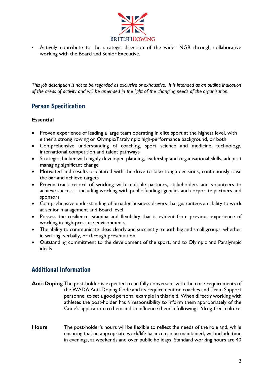

• Actively contribute to the strategic direction of the wider NGB through collaborative working with the Board and Senior Executive.

*This job description is not to be regarded as exclusive or exhaustive. It is intended as an outline indication of the areas of activity and will be amended in the light of the changing needs of the organisation.*

## Person Specification

#### **Essential**

- Proven experience of leading a large team operating in elite sport at the highest level, with either a strong rowing or Olympic/Paralympic high-performance background, or both
- Comprehensive understanding of coaching, sport science and medicine, technology, international competition and talent pathways
- Strategic thinker with highly developed planning, leadership and organisational skills, adept at managing significant change
- Motivated and results-orientated with the drive to take tough decisions, continuously raise the bar and achieve targets
- Proven track record of working with multiple partners, stakeholders and volunteers to achieve success – including working with public funding agencies and corporate partners and sponsors.
- Comprehensive understanding of broader business drivers that guarantees an ability to work at senior management and Board level
- Possess the resilience, stamina and flexibility that is evident from previous experience of working in high-pressure environments
- The ability to communicate ideas clearly and succinctly to both big and small groups, whether in writing, verbally, or through presentation
- Outstanding commitment to the development of the sport, and to Olympic and Paralympic ideals

## Additional Information

- **Anti-Doping** The post-holder is expected to be fully conversant with the core requirements of the WADA Anti-Doping Code and its requirement on coaches and Team Support personnel to set a good personal example in this field. When directly working with athletes the post-holder has a responsibility to inform them appropriately of the Code's application to them and to influence them in following a 'drug-free' culture.
- **Hours** The post-holder's hours will be flexible to reflect the needs of the role and, while ensuring that an appropriate work/life balance can be maintained, will include time in evenings, at weekends and over public holidays. Standard working hours are 40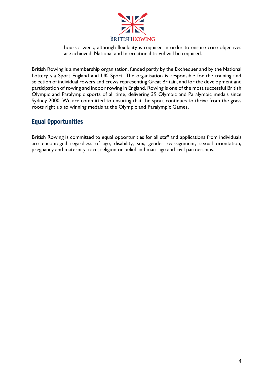

hours a week, although flexibility is required in order to ensure core objectives are achieved. National and International travel will be required.

British Rowing is a membership organisation, funded partly by the Exchequer and by the National Lottery via Sport England and UK Sport. The organisation is responsible for the training and selection of individual rowers and crews representing Great Britain, and for the development and participation of rowing and indoor rowing in England. Rowing is one of the most successful British Olympic and Paralympic sports of all time, delivering 39 Olympic and Paralympic medals since Sydney 2000. We are committed to ensuring that the sport continues to thrive from the grass roots right up to winning medals at the Olympic and Paralympic Games.

## Equal Opportunities

British Rowing is committed to equal opportunities for all staff and applications from individuals are encouraged regardless of age, disability, sex, gender reassignment, sexual orientation, pregnancy and maternity, race, religion or belief and marriage and civil partnerships.